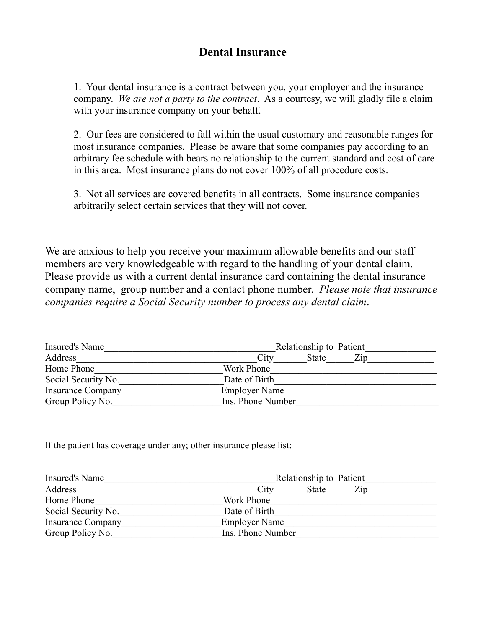# **Dental Insurance**

1. Your dental insurance is a contract between you, your employer and the insurance company. *We are not a party to the contract*. As a courtesy, we will gladly file a claim with your insurance company on your behalf.

2. Our fees are considered to fall within the usual customary and reasonable ranges for most insurance companies. Please be aware that some companies pay according to an arbitrary fee schedule with bears no relationship to the current standard and cost of care in this area. Most insurance plans do not cover 100% of all procedure costs.

3. Not all services are covered benefits in all contracts. Some insurance companies arbitrarily select certain services that they will not cover.

We are anxious to help you receive your maximum allowable benefits and our staff members are very knowledgeable with regard to the handling of your dental claim. Please provide us with a current dental insurance card containing the dental insurance company name, group number and a contact phone number. *Please note that insurance companies require a Social Security number to process any dental claim*.

| Insured's Name           | Relationship to Patient     |  |
|--------------------------|-----------------------------|--|
| Address                  | Zip<br><b>State</b><br>City |  |
| Home Phone               | Work Phone                  |  |
| Social Security No.      | Date of Birth               |  |
| <b>Insurance Company</b> | <b>Employer Name</b>        |  |
| Group Policy No.         | Ins. Phone Number           |  |

If the patient has coverage under any; other insurance please list:

| Insured's Name           | Relationship to Patient                 |  |
|--------------------------|-----------------------------------------|--|
| Address                  | $\mathbf{Z}$ ip<br><b>State</b><br>City |  |
| Home Phone               | Work Phone                              |  |
| Social Security No.      | Date of Birth                           |  |
| <b>Insurance Company</b> | <b>Employer Name</b>                    |  |
| Group Policy No.         | Ins. Phone Number                       |  |